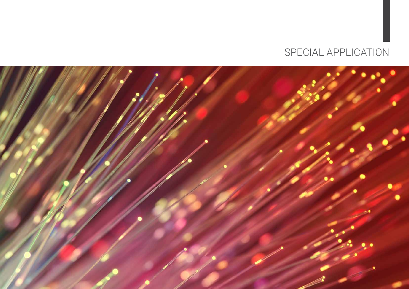

## SPECIAL APPLICATION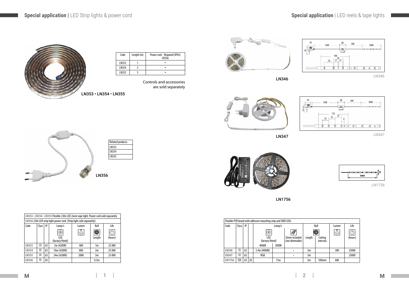

| LN353 • LN354 • LN355 Flexible 230v LED 2wire rope light. Power cord sold separately |                                                             |                         |             |        |                  |        |  |  |  |
|--------------------------------------------------------------------------------------|-------------------------------------------------------------|-------------------------|-------------|--------|------------------|--------|--|--|--|
| LN356 230v LED strip light power cord. (Strip light sold separately)                 |                                                             |                         |             |        |                  |        |  |  |  |
| Code                                                                                 | IP<br>Class <sup>1</sup><br>Roll<br>Life<br>Lamp/s<br>Lumen |                         |             |        |                  |        |  |  |  |
|                                                                                      |                                                             |                         | $\circ$     |        |                  |        |  |  |  |
|                                                                                      |                                                             | LED<br>(factory fitted) |             | Length | (hours)          |        |  |  |  |
| <b>LN353</b>                                                                         | Н                                                           | 65                      | 5w (4200K)  | 400    | 1m               | 25 000 |  |  |  |
| <b>LN354</b>                                                                         | Н                                                           | 65                      | 10w (4200K) | 800    | 2m               | 25 000 |  |  |  |
| <b>LN355</b>                                                                         | Н                                                           | 65                      | 24w (4200K) | 2000   | 5m               | 25 000 |  |  |  |
| <b>LN356</b>                                                                         | Н                                                           | 65                      |             |        | 0.5 <sub>m</sub> |        |  |  |  |

| Code  | Length (m) | Power cord: Required (IP65)<br>I N356 |
|-------|------------|---------------------------------------|
| LN353 |            |                                       |
| LN354 |            |                                       |
| IN355 |            |                                       |

Controls and accessories are sold separately



|               | Flexible PCB board with adhesive mounting strip and SMD LEDs |    |    |                         |     |                                   |        |                      |               |         |  |  |
|---------------|--------------------------------------------------------------|----|----|-------------------------|-----|-----------------------------------|--------|----------------------|---------------|---------|--|--|
| Code          | Class                                                        | P  |    |                         |     | Roll                              |        | Lumen                | Life          |         |  |  |
|               |                                                              |    |    | $\circ$                 |     | ${\mathscr{A}}$                   |        |                      | $\frac{1}{2}$ |         |  |  |
|               |                                                              |    |    | LED<br>(factory fitted) |     | Driver included<br>(not dimmable) | Length | Cutting<br>intervals |               | (hours) |  |  |
|               |                                                              |    |    | 3000K<br>4000K          |     |                                   |        |                      |               |         |  |  |
| <b>LN346</b>  | Н                                                            | 65 |    | 5.4w (4000K)            |     |                                   | 3m     |                      | 380           | 25000   |  |  |
| <b>LN347</b>  | Н                                                            | 65 |    | RGB                     |     |                                   | 3m     |                      |               | 25000   |  |  |
| <b>LN1756</b> | Ш                                                            | 65 | 20 |                         | 72w |                                   | 5m     | 100mm                | 600           |         |  |  |



LN346





LN346

LN347



LN347







LN1756



LN1756